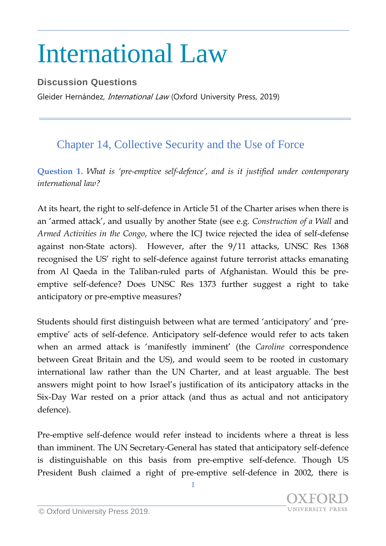## International Law

## **Discussion Questions**

Gleider Hernández, *International Law* (Oxford University Press, 2019)

## Chapter 14, Collective Security and the Use of Force

**Question 1.** *What is 'pre-emptive self-defence', and is it justified under contemporary international law?*

At its heart, the right to self-defence in Article 51 of the Charter arises when there is an 'armed attack', and usually by another State (see e.g. *Construction of a Wall* and *Armed Activities in the Congo*, where the ICJ twice rejected the idea of self-defense against non-State actors). However, after the 9/11 attacks, UNSC Res 1368 recognised the US' right to self-defence against future terrorist attacks emanating from Al Qaeda in the Taliban-ruled parts of Afghanistan. Would this be preemptive self-defence? Does UNSC Res 1373 further suggest a right to take anticipatory or pre-emptive measures?

Students should first distinguish between what are termed 'anticipatory' and 'preemptive' acts of self-defence. Anticipatory self-defence would refer to acts taken when an armed attack is 'manifestly imminent' (the *Caroline* correspondence between Great Britain and the US), and would seem to be rooted in customary international law rather than the UN Charter, and at least arguable. The best answers might point to how Israel's justification of its anticipatory attacks in the Six-Day War rested on a prior attack (and thus as actual and not anticipatory defence).

Pre-emptive self-defence would refer instead to incidents where a threat is less than imminent. The UN Secretary-General has stated that anticipatory self-defence is distinguishable on this basis from pre-emptive self-defence. Though US President Bush claimed a right of pre-emptive self-defence in 2002, there is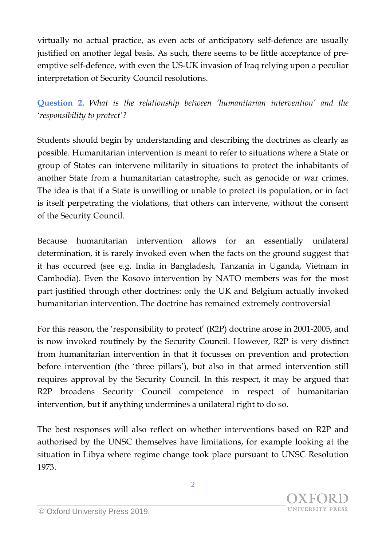virtually no actual practice, as even acts of anticipatory self-defence are usually justified on another legal basis. As such, there seems to be little acceptance of preemptive self-defence, with even the US-UK invasion of Iraq relying upon a peculiar interpretation of Security Council resolutions.

**Question 2.** *What is the relationship between 'humanitarian intervention' and the 'responsibility to protect'?*

Students should begin by understanding and describing the doctrines as clearly as possible. Humanitarian intervention is meant to refer to situations where a State or group of States can intervene militarily in situations to protect the inhabitants of another State from a humanitarian catastrophe, such as genocide or war crimes. The idea is that if a State is unwilling or unable to protect its population, or in fact is itself perpetrating the violations, that others can intervene, without the consent of the Security Council.

Because humanitarian intervention allows for an essentially unilateral determination, it is rarely invoked even when the facts on the ground suggest that it has occurred (see e.g. India in Bangladesh, Tanzania in Uganda, Vietnam in Cambodia). Even the Kosovo intervention by NATO members was for the most part justified through other doctrines: only the UK and Belgium actually invoked humanitarian intervention. The doctrine has remained extremely controversial

For this reason, the 'responsibility to protect' (R2P) doctrine arose in 2001-2005, and is now invoked routinely by the Security Council. However, R2P is very distinct from humanitarian intervention in that it focusses on prevention and protection before intervention (the 'three pillars'), but also in that armed intervention still requires approval by the Security Council. In this respect, it may be argued that R2P broadens Security Council competence in respect of humanitarian intervention, but if anything undermines a unilateral right to do so.

The best responses will also reflect on whether interventions based on R2P and authorised by the UNSC themselves have limitations, for example looking at the situation in Libya where regime change took place pursuant to UNSC Resolution 1973.